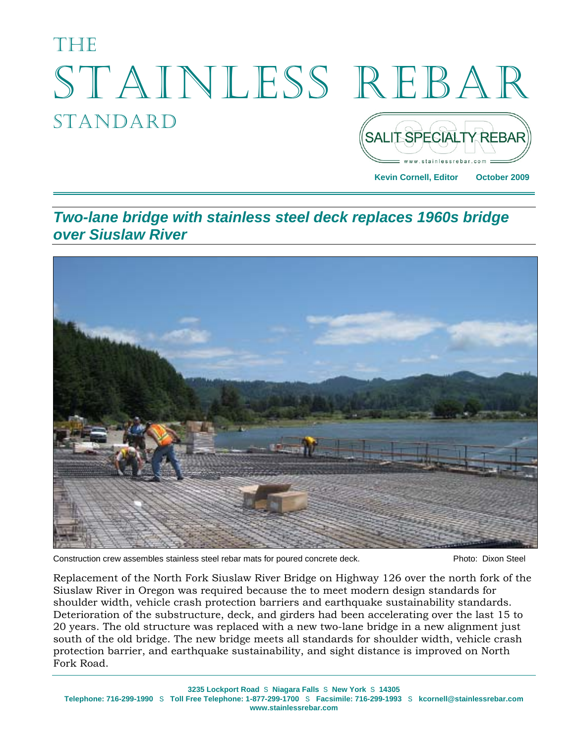# THETH STAINLESS REBAR STANDARD **SALIT SPECIALTY REBAR**

**Kevin Cornell, Editor October 2009** 

*Two-lane bridge with stainless steel deck replaces 1960s bridge over Siuslaw River* 



Construction crew assembles stainless steel rebar mats for poured concrete deck. Photo: Dixon Steel

Replacement of the North Fork Siuslaw River Bridge on Highway 126 over the north fork of the Siuslaw River in Oregon was required because the to meet modern design standards for shoulder width, vehicle crash protection barriers and earthquake sustainability standards. Deterioration of the substructure, deck, and girders had been accelerating over the last 15 to 20 years. The old structure was replaced with a new two-lane bridge in a new alignment just south of the old bridge. The new bridge meets all standards for shoulder width, vehicle crash protection barrier, and earthquake sustainability, and sight distance is improved on North Fork Road.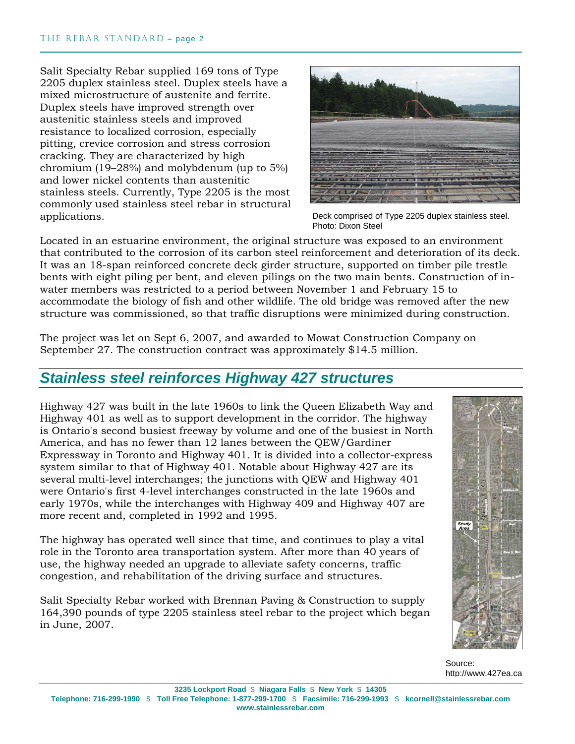Salit Specialty Rebar supplied 169 tons of Type 2205 duplex stainless steel. Duplex steels have a mixed microstructure of austenite and ferrite. Duplex steels have improved strength over austenitic stainless steels and improved resistance to localized corrosion, especially pitting, crevice corrosion and stress corrosion cracking. They are characterized by high chromium (19–28%) and molybdenum (up to 5%) and lower nickel contents than austenitic stainless steels. Currently, Type 2205 is the most commonly used stainless steel rebar in structural applications.



Deck comprised of Type 2205 duplex stainless steel. Photo: Dixon Steel

Located in an estuarine environment, the original structure was exposed to an environment that contributed to the corrosion of its carbon steel reinforcement and deterioration of its deck. It was an 18-span reinforced concrete deck girder structure, supported on timber pile trestle bents with eight piling per bent, and eleven pilings on the two main bents. Construction of inwater members was restricted to a period between November 1 and February 15 to accommodate the biology of fish and other wildlife. The old bridge was removed after the new structure was commissioned, so that traffic disruptions were minimized during construction.

The project was let on Sept 6, 2007, and awarded to Mowat Construction Company on September 27. The construction contract was approximately \$14.5 million.

## *Stainless steel reinforces Highway 427 structures*

Highway 427 was built in the late 1960s to link the Queen Elizabeth Way and Highway 401 as well as to support development in the corridor. The highway is Ontario's second busiest freeway by volume and one of the busiest in North America, and has no fewer than 12 lanes between the QEW/Gardiner Expressway in Toronto and Highway 401. It is divided into a collector-express system similar to that of Highway 401. Notable about Highway 427 are its several multi-level interchanges; the junctions with QEW and Highway 401 were Ontario's first 4-level interchanges constructed in the late 1960s and early 1970s, while the interchanges with Highway 409 and Highway 407 are more recent and, completed in 1992 and 1995.

The highway has operated well since that time, and continues to play a vital role in the Toronto area transportation system. After more than 40 years of use, the highway needed an upgrade to alleviate safety concerns, traffic congestion, and rehabilitation of the driving surface and structures.

Salit Specialty Rebar worked with Brennan Paving & Construction to supply 164,390 pounds of type 2205 stainless steel rebar to the project which began in June, 2007.



Source: http://www.427ea.ca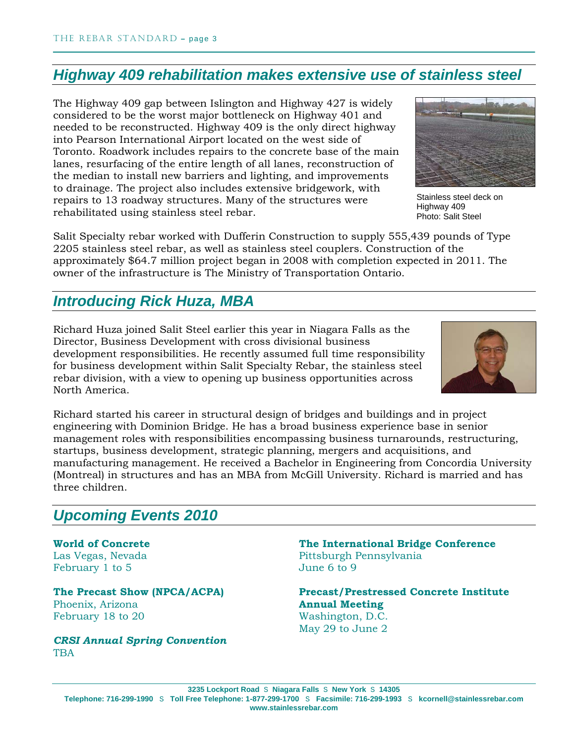### *Highway 409 rehabilitation makes extensive use of stainless steel*

The Highway 409 gap between Islington and Highway 427 is widely considered to be the worst major bottleneck on Highway 401 and needed to be reconstructed. Highway 409 is the only direct highway into Pearson International Airport located on the west side of Toronto. Roadwork includes repairs to the concrete base of the main lanes, resurfacing of the entire length of all lanes, reconstruction of the median to install new barriers and lighting, and improvements to drainage. The project also includes extensive bridgework, with repairs to 13 roadway structures. Many of the structures were rehabilitated using stainless steel rebar.



Stainless steel deck on Highway 409 Photo: Salit Steel

Salit Specialty rebar worked with Dufferin Construction to supply 555,439 pounds of Type 2205 stainless steel rebar, as well as stainless steel couplers. Construction of the approximately \$64.7 million project began in 2008 with completion expected in 2011. The owner of the infrastructure is The Ministry of Transportation Ontario.

#### *Introducing Rick Huza, MBA*

Richard Huza joined Salit Steel earlier this year in Niagara Falls as the Director, Business Development with cross divisional business development responsibilities. He recently assumed full time responsibility for business development within Salit Specialty Rebar, the stainless steel rebar division, with a view to opening up business opportunities across North America.



Richard started his career in structural design of bridges and buildings and in project engineering with Dominion Bridge. He has a broad business experience base in senior management roles with responsibilities encompassing business turnarounds, restructuring, startups, business development, strategic planning, mergers and acquisitions, and manufacturing management. He received a Bachelor in Engineering from Concordia University (Montreal) in structures and has an MBA from McGill University. Richard is married and has three children.

#### *Upcoming Events 2010*

**World of Concrete**  Las Vegas, Nevada February 1 to 5

**The Precast Show (NPCA/ACPA)**  Phoenix, Arizona February 18 to 20

*CRSI Annual Spring Convention* TBA

**The International Bridge Conference**  Pittsburgh Pennsylvania June 6 to 9

**Precast/Prestressed Concrete Institute Annual Meeting** Washington, D.C. May 29 to June 2